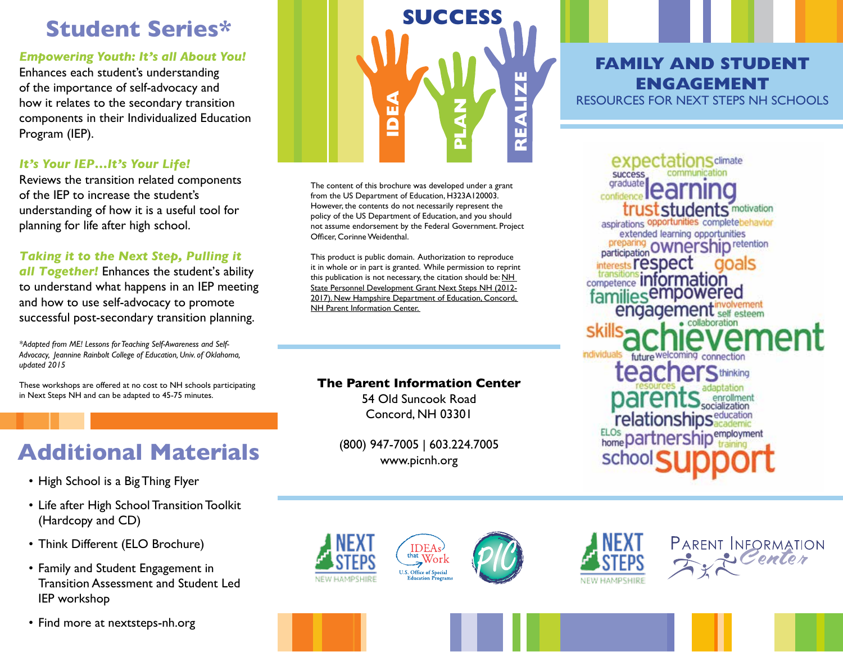## **Student Series\***

*Empowering Youth: It's all About You!*

Enhances each student's understanding of the importance of self-advocacy and how it relates to the secondary transition components in their Individualized Education Program (IEP).

### *It's Your IEP…It's Your Life!*

Reviews the transition related components of the IEP to increase the student's understanding of how it is a useful tool for planning for life after high school.

### *Taking it to the Next Step, Pulling it*

*all Together!* Enhances the student's ability to understand what happens in an IEP meeting and how to use self-advocacy to promote successful post-secondary transition planning.

*\*Adapted from ME! Lessons for Teaching Self-Awareness and Self-Advocacy, Jeannine Rainbolt College of Education, Univ. of Oklahoma, updated 2015*

These workshops are offered at no cost to NH schools participating in Next Steps NH and can be adapted to 45-75 minutes.

# **Additional Materials**

- High School is a Big Thing Flyer
- Life after High School Transition Toolkit (Hardcopy and CD)
- Think Different (ELO Brochure)
- Family and Student Engagement in Transition Assessment and Student Led IEP workshop
- Find more at nextsteps-nh.org



The content of this brochure was developed under a grant from the US Department of Education, H323A120003. However, the contents do not necessarily represent the policy of the US Department of Education, and you should not assume endorsement by the Federal Government. Project Officer, Corinne Weidenthal.

This product is public domain. Authorization to reproduce it in whole or in part is granted. While permission to reprint this publication is not necessary, the citation should be: NH State Personnel Development Grant Next Steps NH (2012- 2017). New Hampshire Department of Education, Concord, NH Parent Information Center.

### **The Parent Information Center**

54 Old Suncook Road Concord, NH 03301

(800) 947-7005 | 603.224.7005 www.picnh.org

**IDEAs** 

**U.S. Office of Special Education Progra** 









**FAMILY AND STUDENT ENGAGEMENT**

RESOURCES FOR NEXT STEPS NH SCHOOLS

**Sclimate SUCCeSS** graduate **dents** motivation aspirations opportunities completebehavior extended learning opportunities **ownership retention** participation sts **respect** າດລາຣ competence information familiesempowered engagement ndividuals **teachers** thinking relationships<sup>education</sup> ELOs partnership<sup>employment</sup> scho